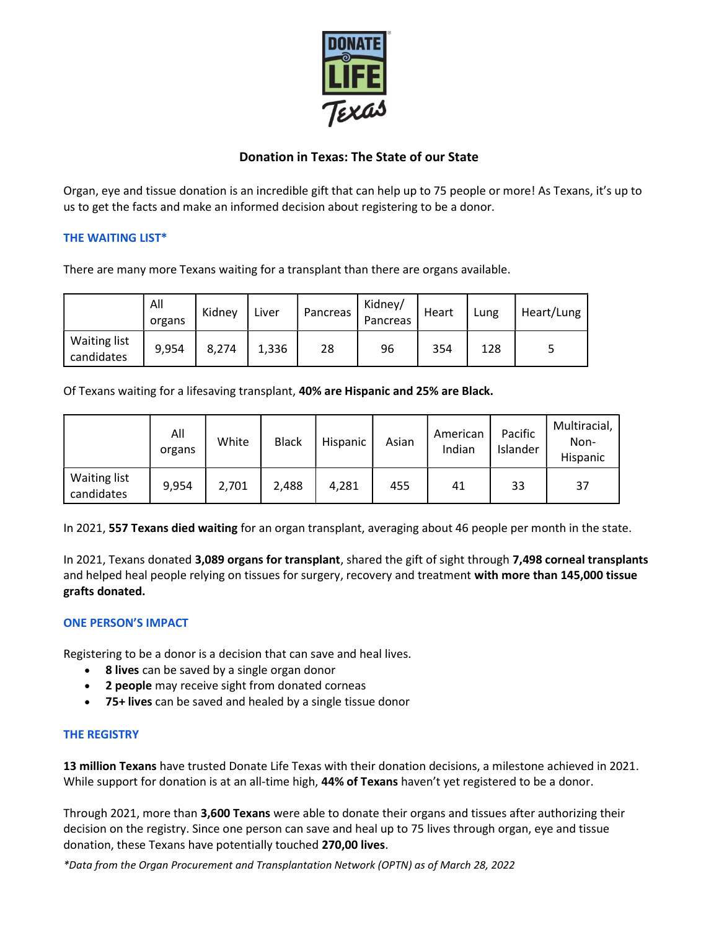

# Donation in Texas: The State of our State

Organ, eye and tissue donation is an incredible gift that can help up to 75 people or more! As Texans, it's up to us to get the facts and make an informed decision about registering to be a donor.

# THE WAITING LIST\*

There are many more Texans waiting for a transplant than there are organs available.

|                                   | All<br>organs | Kidney | Liver | Pancreas | Kidney/<br>Pancreas | Heart | Lung | Heart/Lung |
|-----------------------------------|---------------|--------|-------|----------|---------------------|-------|------|------------|
| <b>Waiting list</b><br>candidates | 9,954         | 8,274  | 1,336 | 28       | 96                  | 354   | 128  |            |

Of Texans waiting for a lifesaving transplant, 40% are Hispanic and 25% are Black.

|                                   | All<br>organs | White | <b>Black</b> | Hispanic | Asian | American<br>Indian | Pacific<br>Islander | Multiracial,<br>Non-<br>Hispanic |
|-----------------------------------|---------------|-------|--------------|----------|-------|--------------------|---------------------|----------------------------------|
| <b>Waiting list</b><br>candidates | 9,954         | 2,701 | 2,488        | 4,281    | 455   | 41                 | 33                  | 37                               |

In 2021, 557 Texans died waiting for an organ transplant, averaging about 46 people per month in the state.

In 2021, Texans donated 3,089 organs for transplant, shared the gift of sight through 7,498 corneal transplants and helped heal people relying on tissues for surgery, recovery and treatment with more than 145,000 tissue grafts donated.

# ONE PERSON'S IMPACT

Registering to be a donor is a decision that can save and heal lives.

- 8 lives can be saved by a single organ donor
- 2 people may receive sight from donated corneas
- 75+ lives can be saved and healed by a single tissue donor

### THE REGISTRY

13 million Texans have trusted Donate Life Texas with their donation decisions, a milestone achieved in 2021. While support for donation is at an all-time high, 44% of Texans haven't yet registered to be a donor.

Through 2021, more than 3,600 Texans were able to donate their organs and tissues after authorizing their decision on the registry. Since one person can save and heal up to 75 lives through organ, eye and tissue donation, these Texans have potentially touched 270,00 lives.

\*Data from the Organ Procurement and Transplantation Network (OPTN) as of March 28, 2022